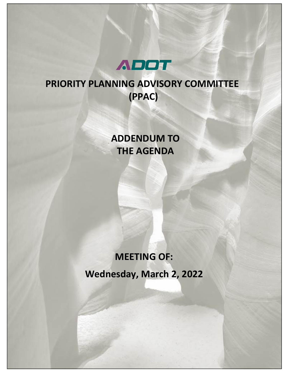

## **PRIORITY PLANNING ADVISORY COMMITTEE (PPAC)**

### **ADDENDUM TO THE AGENDA**

# **MEETING OF: Wednesday, March 2, 2022**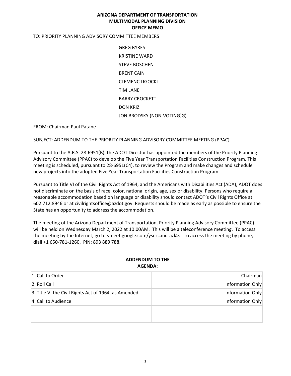#### **ARIZONA DEPARTMENT OF TRANSPORTATION MULTIMODAL PLANNING DIVISION OFFICE MEMO**

#### TO: PRIORITY PLANNING ADVISORY COMMITTEE MEMBERS

GREG BYRES KRISTINE WARD STEVE BOSCHEN BRENT CAIN CLEMENC LIGOCKI TIM LANE BARRY CROCKETT DON KRIZ JON BRODSKY (NON-VOTING)G)

FROM: Chairman Paul Patane

SUBJECT: ADDENDUM TO THE PRIORITY PLANNING ADVISORY COMMITTEE MEETING (PPAC)

Pursuant to the A.R.S. 28-6951(B), the ADOT Director has appointed the members of the Priority Planning Advisory Committee (PPAC) to develop the Five Year Transportation Facilities Construction Program. This meeting is scheduled, pursuant to 28-6951(C4), to review the Program and make changes and schedule new projects into the adopted Five Year Transportation Facilities Construction Program.

Pursuant to Title VI of the Civil Rights Act of 1964, and the Americans with Disabilities Act (ADA), ADOT does not discriminate on the basis of race, color, national origin, age, sex or disability. Persons who require a reasonable accommodation based on language or disability should contact ADOT's Civil Rights Office at 602.712.8946 or at civilrightsoffice@azdot.gov. Requests should be made as early as possible to ensure the State has an opportunity to address the accommodation.

The meeting of the Arizona Department of Transportation, Priority Planning Advisory Committee (PPAC) will be held on Wednesday March 2, 2022 at 10:00AM. This will be a teleconference meeting. To access the meeting by the Internet, go to <meet.google.com/ysr-ccmu-azk>. To access the meeting by phone, diall +1 650-781-1260, PIN: 893 889 788.

#### **ADDENDUM TO THE AGENDA:**

| 1. Call to Order                                     | Chairman         |
|------------------------------------------------------|------------------|
| 2. Roll Call                                         | Information Only |
| 3. Title VI the Civil Rights Act of 1964, as Amended | Information Only |
| 4. Call to Audience                                  | Information Only |
|                                                      |                  |
|                                                      |                  |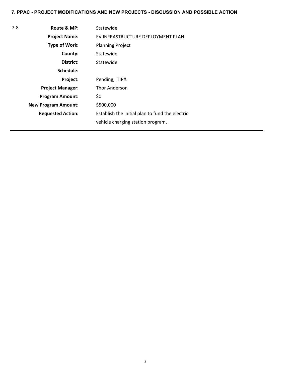#### **7. PPAC - PROJECT MODIFICATIONS AND NEW PROJECTS - DISCUSSION AND POSSIBLE ACTION**

| $7-8$ | Route & MP:                | Statewide                                       |  |
|-------|----------------------------|-------------------------------------------------|--|
|       | <b>Project Name:</b>       | EV INFRASTRUCTURE DEPLOYMENT PLAN               |  |
|       | <b>Type of Work:</b>       | <b>Planning Project</b>                         |  |
|       | County:                    | Statewide                                       |  |
|       | District:                  | Statewide                                       |  |
|       | Schedule:                  |                                                 |  |
|       | Project:                   | Pending, TIP#:                                  |  |
|       | <b>Project Manager:</b>    | <b>Thor Anderson</b>                            |  |
|       | <b>Program Amount:</b>     | \$0                                             |  |
|       | <b>New Program Amount:</b> | \$500,000                                       |  |
|       | <b>Requested Action:</b>   | Establish the initial plan to fund the electric |  |
|       |                            | vehicle charging station program.               |  |